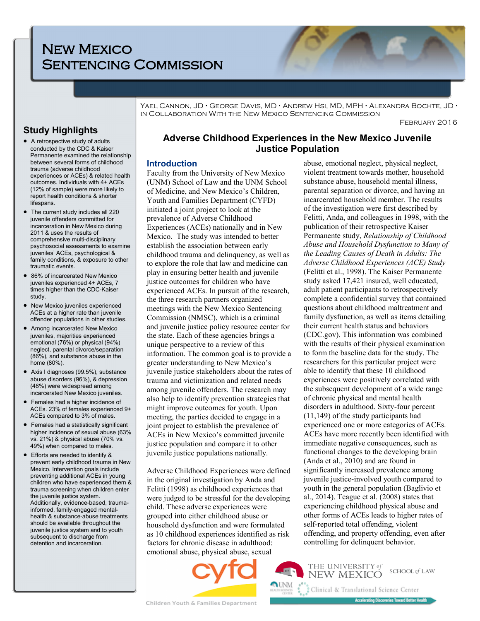# New Mexico Sentencing Commission

Yael Cannon, JD **·** George Davis, MD **·** Andrew Hsi, MD, MPH **·** Alexandra Bochte, JD **·** in Collaboration With the New Mexico Sentencing Commission

February 2016

# **Study Highlights**

- A retrospective study of adults conducted by the CDC & Kaiser Permanente examined the relationship between several forms of childhood trauma (adverse childhood experiences or ACEs) & related health outcomes. Individuals with 4+ ACEs (12% of sample) were more likely to report health conditions & shorter lifespans.
- The current study includes all 220 juvenile offenders committed for incarceration in New Mexico during 2011 & uses the results of comprehensive multi-disciplinary psychosocial assessments to examine juveniles' ACEs, psychological & family conditions, & exposure to other traumatic events.
- 86% of incarcerated New Mexico juveniles experienced 4+ ACEs, 7 times higher than the CDC-Kaiser study.
- New Mexico juveniles experienced ACEs at a higher rate than juvenile offender populations in other studies.
- Among incarcerated New Mexico juveniles, majorities experienced emotional (76%) or physical (94%) neglect, parental divorce/separation (86%), and substance abuse in the home (80%).
- Axis I diagnoses (99.5%), substance abuse disorders (96%), & depression (48%) were widespread among incarcerated New Mexico juveniles.
- Females had a higher incidence of ACEs. 23% of females experienced 9+ ACEs compared to 3% of males.
- Females had a statistically significant higher incidence of sexual abuse (63% vs. 21%) & physical abuse (70% vs. 49%) when compared to males.
- Efforts are needed to identify & prevent early childhood trauma in New Mexico. Intervention goals include preventing additional ACEs in young children who have experienced them & trauma screening when children enter the juvenile justice system. Additionally, evidence-based, traumainformed, family-engaged mentalhealth & substance-abuse treatments should be available throughout the juvenile justice system and to youth subsequent to discharge from detention and incarceration.

# **Adverse Childhood Experiences in the New Mexico Juvenile Justice Population**

## **Introduction**

Faculty from the University of New Mexico (UNM) School of Law and the UNM School of Medicine, and New Mexico's Children, Youth and Families Department (CYFD) initiated a joint project to look at the prevalence of Adverse Childhood Experiences (ACEs) nationally and in New Mexico. The study was intended to better establish the association between early childhood trauma and delinquency, as well as to explore the role that law and medicine can play in ensuring better health and juvenile justice outcomes for children who have experienced ACEs. In pursuit of the research, the three research partners organized meetings with the New Mexico Sentencing Commission (NMSC), which is a criminal and juvenile justice policy resource center for the state. Each of these agencies brings a unique perspective to a review of this information. The common goal is to provide a greater understanding to New Mexico's juvenile justice stakeholders about the rates of trauma and victimization and related needs among juvenile offenders. The research may also help to identify prevention strategies that might improve outcomes for youth. Upon meeting, the parties decided to engage in a joint project to establish the prevalence of ACEs in New Mexico's committed juvenile justice population and compare it to other juvenile justice populations nationally.

Adverse Childhood Experiences were defined in the original investigation by Anda and Felitti (1998) as childhood experiences that were judged to be stressful for the developing child. These adverse experiences were grouped into either childhood abuse or household dysfunction and were formulated as 10 childhood experiences identified as risk factors for chronic disease in adulthood: emotional abuse, physical abuse, sexual



abuse, emotional neglect, physical neglect, violent treatment towards mother, household substance abuse, household mental illness, parental separation or divorce, and having an incarcerated household member. The results of the investigation were first described by Felitti, Anda, and colleagues in 1998, with the publication of their retrospective Kaiser Permanente study, *Relationship of Childhood Abuse and Household Dysfunction to Many of the Leading Causes of Death in Adults: The Adverse Childhood Experiences (ACE) Study* (Felitti et al., 1998). The Kaiser Permanente study asked 17,421 insured, well educated, adult patient participants to retrospectively complete a confidential survey that contained questions about childhood maltreatment and family dysfunction, as well as items detailing their current health status and behaviors (CDC.gov). This information was combined with the results of their physical examination to form the baseline data for the study. The researchers for this particular project were able to identify that these 10 childhood experiences were positively correlated with the subsequent development of a wide range of chronic physical and mental health disorders in adulthood. Sixty-four percent (11,149) of the study participants had experienced one or more categories of ACEs. ACEs have more recently been identified with immediate negative consequences, such as functional changes to the developing brain (Anda et al., 2010) and are found in significantly increased prevalence among juvenile justice-involved youth compared to youth in the general population (Baglivio et al., 2014). Teague et al. (2008) states that experiencing childhood physical abuse and other forms of ACEs leads to higher rates of self-reported total offending, violent offending, and property offending, even after controlling for delinquent behavior.

THE UNIVERSITY of

**NEW MEXICO** 

Clinical & Translational Science Center

SCHOOL of LAW

**Accelerating Discoveries Toward Better Health**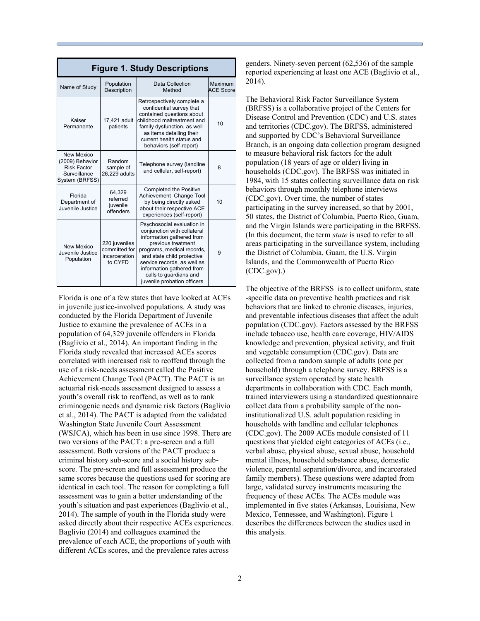| <b>Figure 1. Study Descriptions</b>                                                   |                                                            |                                                                                                                                                                                                                                                                                               |                                    |  |  |
|---------------------------------------------------------------------------------------|------------------------------------------------------------|-----------------------------------------------------------------------------------------------------------------------------------------------------------------------------------------------------------------------------------------------------------------------------------------------|------------------------------------|--|--|
| Name of Study                                                                         | Population<br>Description                                  | <b>Data Collection</b><br>Method                                                                                                                                                                                                                                                              | <b>Maximum</b><br><b>ACE Score</b> |  |  |
| Kaiser<br>Permanente                                                                  | 17,421 adult<br>patients                                   | Retrospectively complete a<br>confidential survey that<br>contained questions about<br>childhood maltreatment and<br>family dysfunction, as well<br>as items detailing their<br>current health status and<br>behaviors (self-report)                                                          | 10                                 |  |  |
| New Mexico<br>(2009) Behavior<br><b>Risk Factor</b><br>Surveillance<br>System (BRFSS) | Random<br>sample of<br>26,229 adults                       | Telephone survey (landline<br>and cellular, self-report)                                                                                                                                                                                                                                      | 8                                  |  |  |
| Florida<br>Department of<br>Juvenile Justice                                          | 64,329<br>referred<br>juvenile<br>offenders                | <b>Completed the Positive</b><br>Achievement Change Tool<br>by being directly asked<br>about their respective ACE<br>experiences (self-report)                                                                                                                                                | 10                                 |  |  |
| New Mexico<br>Juvenile Justice<br>Population                                          | 220 juveniles<br>committed for<br>incarceration<br>to CYFD | Psychosocial evaluation in<br>conjunction with collateral<br>information gathered from<br>previous treatment<br>programs, medical records,<br>and state child protective<br>service records, as well as<br>information gathered from<br>calls to quardians and<br>juvenile probation officers | 9                                  |  |  |

Florida is one of a few states that have looked at ACEs in juvenile justice-involved populations. A study was conducted by the Florida Department of Juvenile Justice to examine the prevalence of ACEs in a population of 64,329 juvenile offenders in Florida (Baglivio et al., 2014). An important finding in the Florida study revealed that increased ACEs scores correlated with increased risk to reoffend through the use of a risk-needs assessment called the Positive Achievement Change Tool (PACT). The PACT is an actuarial risk-needs assessment designed to assess a youth's overall risk to reoffend, as well as to rank criminogenic needs and dynamic risk factors (Baglivio et al., 2014). The PACT is adapted from the validated Washington State Juvenile Court Assessment (WSJCA), which has been in use since 1998. There are two versions of the PACT: a pre-screen and a full assessment. Both versions of the PACT produce a criminal history sub-score and a social history subscore. The pre-screen and full assessment produce the same scores because the questions used for scoring are identical in each tool. The reason for completing a full assessment was to gain a better understanding of the youth's situation and past experiences (Baglivio et al., 2014). The sample of youth in the Florida study were asked directly about their respective ACEs experiences. Baglivio (2014) and colleagues examined the prevalence of each ACE, the proportions of youth with different ACEs scores, and the prevalence rates across

genders. Ninety-seven percent (62,536) of the sample reported experiencing at least one ACE (Baglivio et al., 2014).

The Behavioral Risk Factor Surveillance System (BRFSS) is a collaborative project of the Centers for Disease Control and Prevention (CDC) and U.S. states and territories (CDC.gov). The BRFSS, administered and supported by CDC's Behavioral Surveillance Branch, is an ongoing data collection program designed to measure behavioral risk factors for the adult population (18 years of age or older) living in households (CDC.gov). The BRFSS was initiated in 1984, with 15 states collecting surveillance data on risk behaviors through monthly telephone interviews (CDC.gov). Over time, the number of states participating in the survey increased, so that by 2001, 50 states, the District of Columbia, Puerto Rico, Guam, and the Virgin Islands were participating in the BRFSS. (In this document, the term *state* is used to refer to all areas participating in the surveillance system, including the District of Columbia, Guam, the U.S. Virgin Islands, and the Commonwealth of Puerto Rico (CDC.gov).)

The objective of the BRFSS is to collect uniform, state -specific data on preventive health practices and risk behaviors that are linked to chronic diseases, injuries, and preventable infectious diseases that affect the adult population (CDC.gov). Factors assessed by the BRFSS include tobacco use, health care coverage, HIV/AIDS knowledge and prevention, physical activity, and fruit and vegetable consumption (CDC.gov). Data are collected from a random sample of adults (one per household) through a telephone survey. BRFSS is a surveillance system operated by state health departments in collaboration with CDC. Each month, trained interviewers using a standardized questionnaire collect data from a probability sample of the noninstitutionalized U.S. adult population residing in households with landline and cellular telephones (CDC.gov). The 2009 ACEs module consisted of 11 questions that yielded eight categories of ACEs (i.e., verbal abuse, physical abuse, sexual abuse, household mental illness, household substance abuse, domestic violence, parental separation/divorce, and incarcerated family members). These questions were adapted from large, validated survey instruments measuring the frequency of these ACEs. The ACEs module was implemented in five states (Arkansas, Louisiana, New Mexico, Tennessee, and Washington). Figure 1 describes the differences between the studies used in this analysis.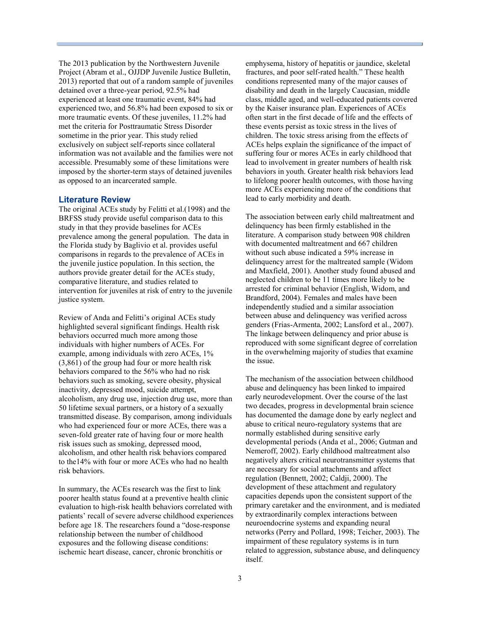The 2013 publication by the Northwestern Juvenile Project (Abram et al., OJJDP Juvenile Justice Bulletin, 2013) reported that out of a random sample of juveniles detained over a three-year period, 92.5% had experienced at least one traumatic event, 84% had experienced two, and 56.8% had been exposed to six or more traumatic events. Of these juveniles, 11.2% had met the criteria for Posttraumatic Stress Disorder sometime in the prior year. This study relied exclusively on subject self-reports since collateral information was not available and the families were not accessible. Presumably some of these limitations were imposed by the shorter-term stays of detained juveniles as opposed to an incarcerated sample.

#### **Literature Review**

The original ACEs study by Felitti et al.(1998) and the BRFSS study provide useful comparison data to this study in that they provide baselines for ACEs prevalence among the general population. The data in the Florida study by Baglivio et al. provides useful comparisons in regards to the prevalence of ACEs in the juvenile justice population. In this section, the authors provide greater detail for the ACEs study, comparative literature, and studies related to intervention for juveniles at risk of entry to the juvenile justice system.

Review of Anda and Felitti's original ACEs study highlighted several significant findings. Health risk behaviors occurred much more among those individuals with higher numbers of ACEs. For example, among individuals with zero ACEs, 1% (3,861) of the group had four or more health risk behaviors compared to the 56% who had no risk behaviors such as smoking, severe obesity, physical inactivity, depressed mood, suicide attempt, alcoholism, any drug use, injection drug use, more than 50 lifetime sexual partners, or a history of a sexually transmitted disease. By comparison, among individuals who had experienced four or more ACEs, there was a seven-fold greater rate of having four or more health risk issues such as smoking, depressed mood, alcoholism, and other health risk behaviors compared to the14% with four or more ACEs who had no health risk behaviors.

In summary, the ACEs research was the first to link poorer health status found at a preventive health clinic evaluation to high-risk health behaviors correlated with patients' recall of severe adverse childhood experiences before age 18. The researchers found a "dose-response relationship between the number of childhood exposures and the following disease conditions: ischemic heart disease, cancer, chronic bronchitis or

emphysema, history of hepatitis or jaundice, skeletal fractures, and poor self-rated health." These health conditions represented many of the major causes of disability and death in the largely Caucasian, middle class, middle aged, and well-educated patients covered by the Kaiser insurance plan. Experiences of ACEs often start in the first decade of life and the effects of these events persist as toxic stress in the lives of children. The toxic stress arising from the effects of ACEs helps explain the significance of the impact of suffering four or mores ACEs in early childhood that lead to involvement in greater numbers of health risk behaviors in youth. Greater health risk behaviors lead to lifelong poorer health outcomes, with those having more ACEs experiencing more of the conditions that lead to early morbidity and death.

The association between early child maltreatment and delinquency has been firmly established in the literature. A comparison study between 908 children with documented maltreatment and 667 children without such abuse indicated a 59% increase in delinquency arrest for the maltreated sample (Widom and Maxfield, 2001). Another study found abused and neglected children to be 11 times more likely to be arrested for criminal behavior (English, Widom, and Brandford, 2004). Females and males have been independently studied and a similar association between abuse and delinquency was verified across genders (Frias-Armenta, 2002; Lansford et al., 2007). The linkage between delinquency and prior abuse is reproduced with some significant degree of correlation in the overwhelming majority of studies that examine the issue.

The mechanism of the association between childhood abuse and delinquency has been linked to impaired early neurodevelopment. Over the course of the last two decades, progress in developmental brain science has documented the damage done by early neglect and abuse to critical neuro-regulatory systems that are normally established during sensitive early developmental periods (Anda et al., 2006; Gutman and Nemeroff, 2002). Early childhood maltreatment also negatively alters critical neurotransmitter systems that are necessary for social attachments and affect regulation (Bennett, 2002; Caldji, 2000). The development of these attachment and regulatory capacities depends upon the consistent support of the primary caretaker and the environment, and is mediated by extraordinarily complex interactions between neuroendocrine systems and expanding neural networks (Perry and Pollard, 1998; Teicher, 2003). The impairment of these regulatory systems is in turn related to aggression, substance abuse, and delinquency itself.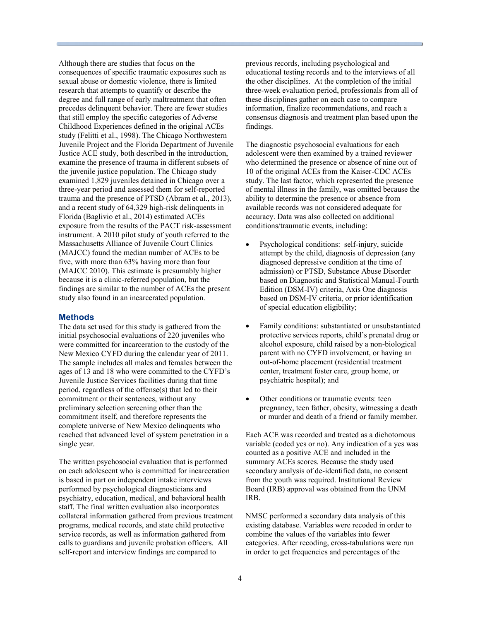Although there are studies that focus on the consequences of specific traumatic exposures such as sexual abuse or domestic violence, there is limited research that attempts to quantify or describe the degree and full range of early maltreatment that often precedes delinquent behavior. There are fewer studies that still employ the specific categories of Adverse Childhood Experiences defined in the original ACEs study (Felitti et al., 1998). The Chicago Northwestern Juvenile Project and the Florida Department of Juvenile Justice ACE study, both described in the introduction, examine the presence of trauma in different subsets of the juvenile justice population. The Chicago study examined 1,829 juveniles detained in Chicago over a three-year period and assessed them for self-reported trauma and the presence of PTSD (Abram et al., 2013), and a recent study of 64,329 high-risk delinquents in Florida (Baglivio et al., 2014) estimated ACEs exposure from the results of the PACT risk-assessment instrument. A 2010 pilot study of youth referred to the Massachusetts Alliance of Juvenile Court Clinics (MAJCC) found the median number of ACEs to be five, with more than 63% having more than four (MAJCC 2010). This estimate is presumably higher because it is a clinic-referred population, but the findings are similar to the number of ACEs the present study also found in an incarcerated population.

#### **Methods**

The data set used for this study is gathered from the initial psychosocial evaluations of 220 juveniles who were committed for incarceration to the custody of the New Mexico CYFD during the calendar year of 2011. The sample includes all males and females between the ages of 13 and 18 who were committed to the CYFD's Juvenile Justice Services facilities during that time period, regardless of the offense(s) that led to their commitment or their sentences, without any preliminary selection screening other than the commitment itself, and therefore represents the complete universe of New Mexico delinquents who reached that advanced level of system penetration in a single year.

The written psychosocial evaluation that is performed on each adolescent who is committed for incarceration is based in part on independent intake interviews performed by psychological diagnosticians and psychiatry, education, medical, and behavioral health staff. The final written evaluation also incorporates collateral information gathered from previous treatment programs, medical records, and state child protective service records, as well as information gathered from calls to guardians and juvenile probation officers. All self-report and interview findings are compared to

previous records, including psychological and educational testing records and to the interviews of all the other disciplines. At the completion of the initial three-week evaluation period, professionals from all of these disciplines gather on each case to compare information, finalize recommendations, and reach a consensus diagnosis and treatment plan based upon the findings.

The diagnostic psychosocial evaluations for each adolescent were then examined by a trained reviewer who determined the presence or absence of nine out of 10 of the original ACEs from the Kaiser-CDC ACEs study. The last factor, which represented the presence of mental illness in the family, was omitted because the ability to determine the presence or absence from available records was not considered adequate for accuracy. Data was also collected on additional conditions/traumatic events, including:

- Psychological conditions: self-injury, suicide attempt by the child, diagnosis of depression (any diagnosed depressive condition at the time of admission) or PTSD, Substance Abuse Disorder based on Diagnostic and Statistical Manual-Fourth Edition (DSM-IV) criteria, Axis One diagnosis based on DSM-IV criteria, or prior identification of special education eligibility;
- Family conditions: substantiated or unsubstantiated protective services reports, child's prenatal drug or alcohol exposure, child raised by a non-biological parent with no CYFD involvement, or having an out-of-home placement (residential treatment center, treatment foster care, group home, or psychiatric hospital); and
- Other conditions or traumatic events: teen pregnancy, teen father, obesity, witnessing a death or murder and death of a friend or family member.

Each ACE was recorded and treated as a dichotomous variable (coded yes or no). Any indication of a yes was counted as a positive ACE and included in the summary ACEs scores. Because the study used secondary analysis of de-identified data, no consent from the youth was required. Institutional Review Board (IRB) approval was obtained from the UNM IRB.

NMSC performed a secondary data analysis of this existing database. Variables were recoded in order to combine the values of the variables into fewer categories. After recoding, cross-tabulations were run in order to get frequencies and percentages of the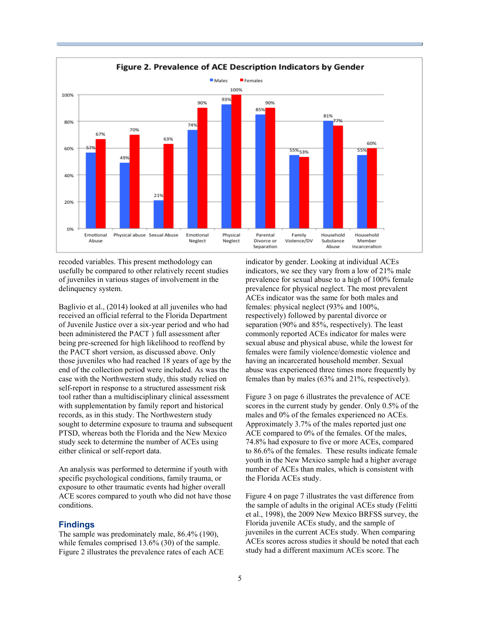

recoded variables. This present methodology can usefully be compared to other relatively recent studies of juveniles in various stages of involvement in the delinquency system.

Baglivio et al., (2014) looked at all juveniles who had received an official referral to the Florida Department of Juvenile Justice over a six-year period and who had been administered the PACT ) full assessment after being pre-screened for high likelihood to reoffend by the PACT short version, as discussed above. Only those juveniles who had reached 18 years of age by the end of the collection period were included. As was the case with the Northwestern study, this study relied on self-report in response to a structured assessment risk tool rather than a multidisciplinary clinical assessment with supplementation by family report and historical records, as in this study. The Northwestern study sought to determine exposure to trauma and subsequent PTSD, whereas both the Florida and the New Mexico study seek to determine the number of ACEs using either clinical or self-report data.

An analysis was performed to determine if youth with specific psychological conditions, family trauma, or exposure to other traumatic events had higher overall ACE scores compared to youth who did not have those conditions.

#### **Findings**

The sample was predominately male, 86.4% (190), while females comprised 13.6% (30) of the sample. Figure 2 illustrates the prevalence rates of each ACE indicator by gender. Looking at individual ACEs indicators, we see they vary from a low of 21% male prevalence for sexual abuse to a high of 100% female prevalence for physical neglect. The most prevalent ACEs indicator was the same for both males and females: physical neglect (93% and 100%, respectively) followed by parental divorce or separation (90% and 85%, respectively). The least commonly reported ACEs indicator for males were sexual abuse and physical abuse, while the lowest for females were family violence/domestic violence and having an incarcerated household member. Sexual abuse was experienced three times more frequently by females than by males (63% and 21%, respectively).

Figure 3 on page 6 illustrates the prevalence of ACE scores in the current study by gender. Only 0.5% of the males and 0% of the females experienced no ACEs. Approximately 3.7% of the males reported just one ACE compared to 0% of the females. Of the males, 74.8% had exposure to five or more ACEs, compared to 86.6% of the females. These results indicate female youth in the New Mexico sample had a higher average number of ACEs than males, which is consistent with the Florida ACEs study.

Figure 4 on page 7 illustrates the vast difference from the sample of adults in the original ACEs study (Felitti et al., 1998), the 2009 New Mexico BRFSS survey, the Florida juvenile ACEs study, and the sample of juveniles in the current ACEs study. When comparing ACEs scores across studies it should be noted that each study had a different maximum ACEs score. The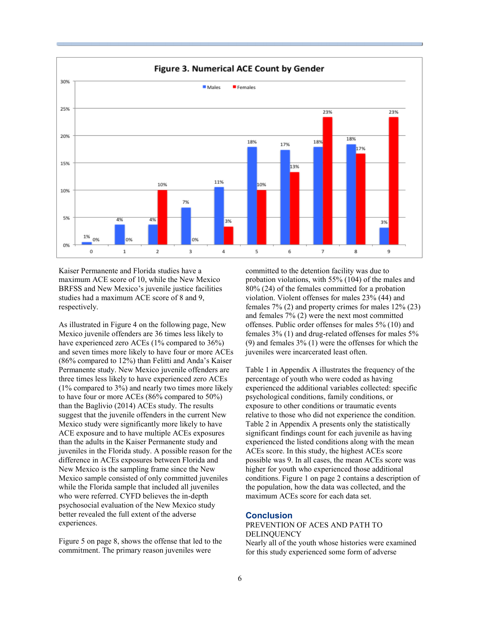

Kaiser Permanente and Florida studies have a maximum ACE score of 10, while the New Mexico BRFSS and New Mexico's juvenile justice facilities studies had a maximum ACE score of 8 and 9, respectively.

As illustrated in Figure 4 on the following page, New Mexico juvenile offenders are 36 times less likely to have experienced zero ACEs (1% compared to 36%) and seven times more likely to have four or more ACEs (86% compared to 12%) than Felitti and Anda's Kaiser Permanente study. New Mexico juvenile offenders are three times less likely to have experienced zero ACEs (1% compared to 3%) and nearly two times more likely to have four or more ACEs (86% compared to 50%) than the Baglivio (2014) ACEs study. The results suggest that the juvenile offenders in the current New Mexico study were significantly more likely to have ACE exposure and to have multiple ACEs exposures than the adults in the Kaiser Permanente study and juveniles in the Florida study. A possible reason for the difference in ACEs exposures between Florida and New Mexico is the sampling frame since the New Mexico sample consisted of only committed juveniles while the Florida sample that included all juveniles who were referred. CYFD believes the in-depth psychosocial evaluation of the New Mexico study better revealed the full extent of the adverse experiences.

Figure 5 on page 8, shows the offense that led to the commitment. The primary reason juveniles were

committed to the detention facility was due to probation violations, with 55% (104) of the males and 80% (24) of the females committed for a probation violation. Violent offenses for males 23% (44) and females 7% (2) and property crimes for males 12% (23) and females 7% (2) were the next most committed offenses. Public order offenses for males 5% (10) and females 3% (1) and drug-related offenses for males 5% (9) and females 3% (1) were the offenses for which the juveniles were incarcerated least often.

Table 1 in Appendix A illustrates the frequency of the percentage of youth who were coded as having experienced the additional variables collected: specific psychological conditions, family conditions, or exposure to other conditions or traumatic events relative to those who did not experience the condition. Table 2 in Appendix A presents only the statistically significant findings count for each juvenile as having experienced the listed conditions along with the mean ACEs score. In this study, the highest ACEs score possible was 9. In all cases, the mean ACEs score was higher for youth who experienced those additional conditions. Figure 1 on page 2 contains a description of the population, how the data was collected, and the maximum ACEs score for each data set.

#### **Conclusion**

PREVENTION OF ACES AND PATH TO DELINQUENCY Nearly all of the youth whose histories were examined for this study experienced some form of adverse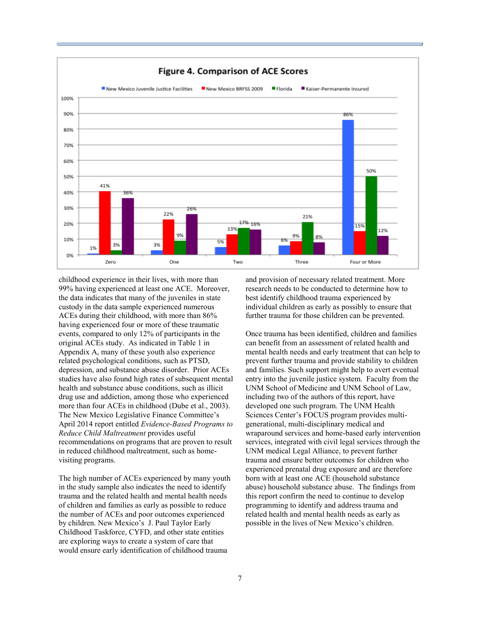

childhood experience in their lives, with more than 99% having experienced at least one ACE. Moreover, the data indicates that many of the juveniles in state custody in the data sample experienced numerous ACEs during their childhood, with more than 86% having experienced four or more of these traumatic events, compared to only 12% of participants in the original ACEs study. As indicated in Table 1 in Appendix A, many of these youth also experience related psychological conditions, such as PTSD, depression, and substance abuse disorder. Prior ACEs studies have also found high rates of subsequent mental health and substance abuse conditions, such as illicit drug use and addiction, among those who experienced more than four ACEs in childhood (Dube et al., 2003). The New Mexico Legislative Finance Committee's April 2014 report entitled *Evidence-Based Programs to Reduce Child Maltreatment* provides useful recommendations on programs that are proven to result in reduced childhood maltreatment, such as homevisiting programs.

The high number of ACEs experienced by many youth in the study sample also indicates the need to identify trauma and the related health and mental health needs of children and families as early as possible to reduce the number of ACEs and poor outcomes experienced by children. New Mexico's J. Paul Taylor Early Childhood Taskforce, CYFD, and other state entities are exploring ways to create a system of care that would ensure early identification of childhood trauma

and provision of necessary related treatment. More research needs to be conducted to determine how to best identify childhood trauma experienced by individual children as early as possibly to ensure that further trauma for those children can be prevented.

Once trauma has been identified, children and families can benefit from an assessment of related health and mental health needs and early treatment that can help to prevent further trauma and provide stability to children and families. Such support might help to avert eventual entry into the juvenile justice system. Faculty from the UNM School of Medicine and UNM School of Law, including two of the authors of this report, have developed one such program. The UNM Health Sciences Center's FOCUS program provides multigenerational, multi-disciplinary medical and wraparound services and home-based early intervention services, integrated with civil legal services through the UNM medical Legal Alliance, to prevent further trauma and ensure better outcomes for children who experienced prenatal drug exposure and are therefore born with at least one ACE (household substance abuse) household substance abuse. The findings from this report confirm the need to continue to develop programming to identify and address trauma and related health and mental health needs as early as possible in the lives of New Mexico's children.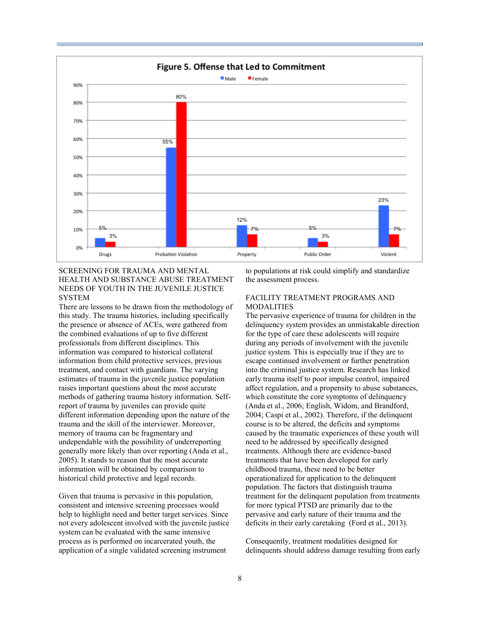

#### SCREENING FOR TRAUMA AND MENTAL HEALTH AND SUBSTANCE ABUSE TREATMENT NEEDS OF YOUTH IN THE JUVENILE JUSTICE SYSTEM

There are lessons to be drawn from the methodology of this study. The trauma histories, including specifically the presence or absence of ACEs, were gathered from the combined evaluations of up to five different professionals from different disciplines. This information was compared to historical collateral information from child protective services, previous treatment, and contact with guardians. The varying estimates of trauma in the juvenile justice population raises important questions about the most accurate methods of gathering trauma history information. Selfreport of trauma by juveniles can provide quite different information depending upon the nature of the trauma and the skill of the interviewer. Moreover, memory of trauma can be fragmentary and undependable with the possibility of underreporting generally more likely than over reporting (Anda et al., 2005). It stands to reason that the most accurate information will be obtained by comparison to historical child protective and legal records.

Given that trauma is pervasive in this population, consistent and intensive screening processes would help to highlight need and better target services. Since not every adolescent involved with the juvenile justice system can be evaluated with the same intensive process as is performed on incarcerated youth, the application of a single validated screening instrument

to populations at risk could simplify and standardize the assessment process.

## FACILITY TREATMENT PROGRAMS AND MODALITIES

The pervasive experience of trauma for children in the delinquency system provides an unmistakable direction for the type of care these adolescents will require during any periods of involvement with the juvenile justice system. This is especially true if they are to escape continued involvement or further penetration into the criminal justice system. Research has linked early trauma itself to poor impulse control, impaired affect regulation, and a propensity to abuse substances, which constitute the core symptoms of delinquency (Anda et al., 2006; English, Widom, and Brandford, 2004; Caspi et al., 2002). Therefore, if the delinquent course is to be altered, the deficits and symptoms caused by the traumatic experiences of these youth will need to be addressed by specifically designed treatments. Although there are evidence-based treatments that have been developed for early childhood trauma, these need to be better operationalized for application to the delinquent population. The factors that distinguish trauma treatment for the delinquent population from treatments for more typical PTSD are primarily due to the pervasive and early nature of their trauma and the deficits in their early caretaking (Ford et al., 2013).

Consequently, treatment modalities designed for delinquents should address damage resulting from early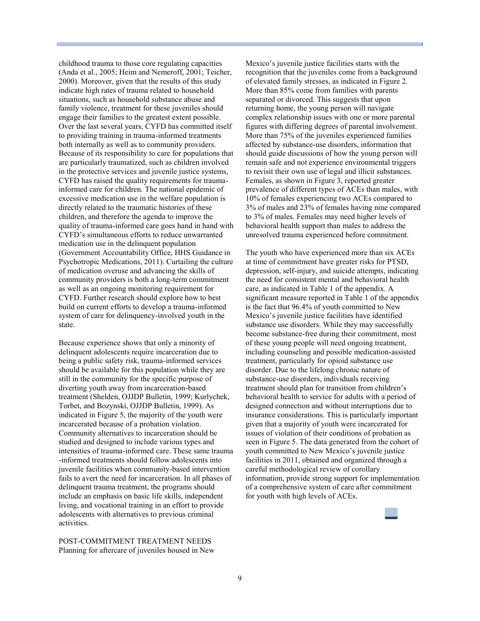childhood trauma to those core regulating capacities (Anda et al., 2005; Heim and Nemeroff, 2001; Teicher, 2000). Moreover, given that the results of this study indicate high rates of trauma related to household situations, such as household substance abuse and family violence, treatment for these juveniles should engage their families to the greatest extent possible. Over the last several years, CYFD has committed itself to providing training in trauma-informed treatments both internally as well as to community providers. Because of its responsibility to care for populations that are particularly traumatized, such as children involved in the protective services and juvenile justice systems, CYFD has raised the quality requirements for traumainformed care for children. The national epidemic of excessive medication use in the welfare population is directly related to the traumatic histories of these children, and therefore the agenda to improve the quality of trauma-informed care goes hand in hand with CYFD's simultaneous efforts to reduce unwarranted medication use in the delinquent population (Government Accountability Office, HHS Guidance in Psychotropic Medications, 2011). Curtailing the culture of medication overuse and advancing the skills of community providers is both a long-term commitment as well as an ongoing monitoring requirement for CYFD. Further research should explore how to best build on current efforts to develop a trauma-informed system of care for delinquency-involved youth in the state.

Because experience shows that only a minority of delinquent adolescents require incarceration due to being a public safety risk, trauma-informed services should be available for this population while they are still in the community for the specific purpose of diverting youth away from incarceration-based treatment (Shelden, OJJDP Bulletin, 1999; Kurlychek, Torbet, and Bozynski, OJJDP Bulletin, 1999). As indicated in Figure 5, the majority of the youth were incarcerated because of a probation violation. Community alternatives to incarceration should be studied and designed to include various types and intensities of trauma-informed care. These same trauma -informed treatments should follow adolescents into juvenile facilities when community-based intervention fails to avert the need for incarceration. In all phases of delinquent trauma treatment, the programs should include an emphasis on basic life skills, independent living, and vocational training in an effort to provide adolescents with alternatives to previous criminal activities.

POST-COMMITMENT TREATMENT NEEDS Planning for aftercare of juveniles housed in New Mexico's juvenile justice facilities starts with the recognition that the juveniles come from a background of elevated family stresses, as indicated in Figure 2. More than 85% come from families with parents separated or divorced. This suggests that upon returning home, the young person will navigate complex relationship issues with one or more parental figures with differing degrees of parental involvement. More than 75% of the juveniles experienced families affected by substance-use disorders, information that should guide discussions of how the young person will remain safe and not experience environmental triggers to revisit their own use of legal and illicit substances. Females, as shown in Figure 3, reported greater prevalence of different types of ACEs than males, with 10% of females experiencing two ACEs compared to 3% of males and 23% of females having nine compared to 3% of males. Females may need higher levels of behavioral health support than males to address the unresolved trauma experienced before commitment.

The youth who have experienced more than six ACEs at time of commitment have greater risks for PTSD, depression, self-injury, and suicide attempts, indicating the need for consistent mental and behavioral health care, as indicated in Table 1 of the appendix. A significant measure reported in Table 1 of the appendix is the fact that 96.4% of youth committed to New Mexico's juvenile justice facilities have identified substance use disorders. While they may successfully become substance-free during their commitment, most of these young people will need ongoing treatment, including counseling and possible medication-assisted treatment, particularly for opioid substance use disorder. Due to the lifelong chronic nature of substance-use disorders, individuals receiving treatment should plan for transition from children's behavioral health to service for adults with a period of designed connection and without interruptions due to insurance considerations. This is particularly important given that a majority of youth were incarcerated for issues of violation of their conditions of probation as seen in Figure 5. The data generated from the cohort of youth committed to New Mexico's juvenile justice facilities in 2011, obtained and organized through a careful methodological review of corollary information, provide strong support for implementation of a comprehensive system of care after commitment for youth with high levels of ACEs.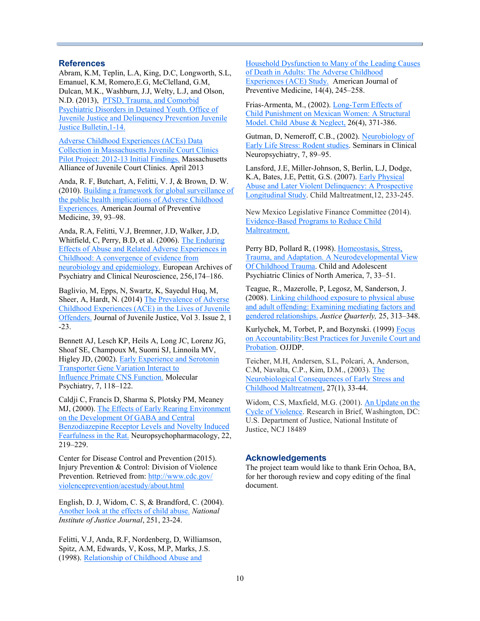#### **References**

Abram, K.M, Teplin, L.A, King, D.C, Longworth, S.L, Emanuel, K.M, Romero,E.G, McClelland, G.M, Dulcan, M.K., Washburn, J.J, Welty, L.J, and Olson, N.D. (2013), [PTSD, Trauma, and Comorbid](http://www.ojjdp.gov/pubs/239603.pdf)  [Psychiatric Disorders in Detained Youth. Office of](http://www.ojjdp.gov/pubs/239603.pdf)  [Juvenile Justice and Delinquency Prevention Juvenile](http://www.ojjdp.gov/pubs/239603.pdf)  [Justice Bulletin,1](http://www.ojjdp.gov/pubs/239603.pdf)-14.

[Adverse Childhood Experiences \(ACEs\) Data](http://www.kidsandthelaw.org/resources/Vulnerabilities%2010.21.13.pdf)  [Collection in Massachusetts Juvenile Court Clinics](http://www.kidsandthelaw.org/resources/Vulnerabilities%2010.21.13.pdf)  Pilot Project: 2012-[13 Initial Findings.](http://www.kidsandthelaw.org/resources/Vulnerabilities%2010.21.13.pdf) Massachusetts Alliance of Juvenile Court Clinics. April 2013

Anda, R. F, Butchart, A, Felitti, V. J, & Brown, D. W. (2010). [Building a framework for global surveillance of](https://www.researchgate.net/publication/44672481_Building_a_Framework_for_Global_Surveillance_of_the_Public_Health_Implications_of_Adverse_Childhood_Experiences)  [the public health implications of Adverse Childhood](https://www.researchgate.net/publication/44672481_Building_a_Framework_for_Global_Surveillance_of_the_Public_Health_Implications_of_Adverse_Childhood_Experiences)  [Experiences.](https://www.researchgate.net/publication/44672481_Building_a_Framework_for_Global_Surveillance_of_the_Public_Health_Implications_of_Adverse_Childhood_Experiences) American Journal of Preventive Medicine, 39, 93–98.

Anda, R.A, Felitti, V.J, Bremner, J.D, Walker, J.D, Whitfield, C, Perry, B.D, et al. (2006). [The Enduring](http://link.springer.com/article/10.1007%2Fs00406-005-0624-4)  [Effects of Abuse and Related Adverse Experiences in](http://link.springer.com/article/10.1007%2Fs00406-005-0624-4)  [Childhood: A convergence of evidence from](http://link.springer.com/article/10.1007%2Fs00406-005-0624-4)  [neurobiology and epidemiology.](http://link.springer.com/article/10.1007%2Fs00406-005-0624-4) European Archives of Psychiatry and Clinical Neuroscience, 256,174–186.

Baglivio, M, Epps, N, Swartz, K, Sayedul Huq, M, Sheer, A, Hardt, N. (2014) [The Prevalence of Adverse](http://www.journalofjuvjustice.org/JOJJ0302/article01.htm)  [Childhood Experiences \(ACE\) in the Lives of Juvenile](http://www.journalofjuvjustice.org/JOJJ0302/article01.htm)  [Offenders.](http://www.journalofjuvjustice.org/JOJJ0302/article01.htm) Journal of Juvenile Justice, Vol 3. Issue 2, 1 -23.

Bennett AJ, Lesch KP, Heils A, Long JC, Lorenz JG, Shoaf SE, Champoux M, Suomi SJ, Linnoila MV, Higley JD, (2002). **Early Experience and Serotonin** [Transporter Gene Variation Interact to](http://www.nature.com/mp/journal/v7/n1/full/4000949a.html) [Influence Primate CNS Function.](http://www.nature.com/mp/journal/v7/n1/full/4000949a.html) Molecular Psychiatry, 7, 118–122.

Caldji C, Francis D, Sharma S, Plotsky PM, Meaney MJ, (2000). [The Effects of Early Rearing Environment](http://www.nature.com/npp/journal/v22/n3/full/1395434a.html)  [on the Development Of GABA and Central](http://www.nature.com/npp/journal/v22/n3/full/1395434a.html)  [Benzodiazepine Receptor Levels and Novelty Induced](http://www.nature.com/npp/journal/v22/n3/full/1395434a.html)  [Fearfulness in the Rat.](http://www.nature.com/npp/journal/v22/n3/full/1395434a.html) Neuropsychopharmacology, 22, 219–229.

Center for Disease Control and Prevention (2015). Injury Prevention & Control: Division of Violence Prevention. Retrieved from: [http://www.cdc.gov/](http://www.cdc.gov/violenceprevention/acestudy/about.html) [violenceprevention/acestudy/about.html](http://www.cdc.gov/violenceprevention/acestudy/about.html)

English, D. J, Widom, C. S, & Brandford, C. (2004). [Another look at the effects of child abuse](https://www.ncjrs.gov/pdffiles1/jr000251g.pdf)*. National Institute of Justice Journal*, 251, 23-24.

Felitti, V.J, Anda, R.F, Nordenberg, D, Williamson, Spitz, A.M, Edwards, V, Koss, M.P, Marks, J.S. (1998). [Relationship of Childhood Abuse and](http://www.sciencedirect.com/science/article/pii/S0749379798000178) 

[Household Dysfunction to Many of the Leading Causes](http://www.sciencedirect.com/science/article/pii/S0749379798000178)  [of Death in Adults: The Adverse Childhood](http://www.sciencedirect.com/science/article/pii/S0749379798000178)  [Experiences \(ACE\) Study.](http://www.sciencedirect.com/science/article/pii/S0749379798000178) American Journal of Preventive Medicine, 14(4), 245–258.

Frias-Armenta, M., (2002). Long-[Term Effects of](https://www.ncjrs.gov/App/publications/abstract.aspx?ID=208508)  [Child Punishment on Mexican Women: A Structural](https://www.ncjrs.gov/App/publications/abstract.aspx?ID=208508)  [Model. Child Abuse & Neglect,](https://www.ncjrs.gov/App/publications/abstract.aspx?ID=208508) 26(4), 371-386.

Gutman, D, Nemeroff, C.B., (2002). [Neurobiology of](http://www.drgutman.org/ORIGINAL_PAPERS/%2310.pdf)  [Early Life Stress: Rodent studies.](http://www.drgutman.org/ORIGINAL_PAPERS/%2310.pdf) Seminars in Clinical Neuropsychiatry, 7, 89–95.

[Lansford,](http://cmx.sagepub.com/search?author1=Jennifer+E.+Lansford&sortspec=date&submit=Submit) J.E, Miller-[Johnson,](http://cmx.sagepub.com/search?author1=Shari+Miller-Johnson&sortspec=date&submit=Submit) S, [Berlin,](http://cmx.sagepub.com/search?author1=Lisa+J.+Berlin&sortspec=date&submit=Submit) L.J, [Dodge,](http://cmx.sagepub.com/search?author1=Kenneth+A.+Dodge&sortspec=date&submit=Submit) K.A, Bates, J.E, Pettit, G.S. (2007). [Early Physical](http://www.ncbi.nlm.nih.gov/pmc/articles/PMC2771618/)  [Abuse and Later Violent Delinquency: A Prospective](http://www.ncbi.nlm.nih.gov/pmc/articles/PMC2771618/)  [Longitudinal Study.](http://www.ncbi.nlm.nih.gov/pmc/articles/PMC2771618/) Child Maltreatment,12, 233-245.

New Mexico Legislative Finance Committee (2014). Evidence-[Based Programs to Reduce Child](http://www.nmlegis.gov/lcs/lfc/lfcdocs/resultsfirst/Evidence-Based%20Programs%20to%20Reduce%20Child%20Maltreatment.pdf)  [Maltreatment.](http://www.nmlegis.gov/lcs/lfc/lfcdocs/resultsfirst/Evidence-Based%20Programs%20to%20Reduce%20Child%20Maltreatment.pdf)

Perry BD, Pollard R, (1998). [Homeostasis, Stress,](http://www.clcny.org/wp-content/uploads/2012/08/class-13-homestasis-stress-trauma-and-adaption.PDF)  [Trauma, and Adaptation. A Neurodevelopmental View](http://www.clcny.org/wp-content/uploads/2012/08/class-13-homestasis-stress-trauma-and-adaption.PDF)  [Of Childhood Trauma.](http://www.clcny.org/wp-content/uploads/2012/08/class-13-homestasis-stress-trauma-and-adaption.PDF) Child and Adolescent Psychiatric Clinics of North America, 7, 33–51.

Teague, R., Mazerolle, P, Legosz, M, Sanderson, J. (2008). [Linking childhood exposure to physical abuse](http://www.tandfonline.com/doi/pdf/10.1080/07418820802024689)  [and adult offending: Examining mediating factors and](http://www.tandfonline.com/doi/pdf/10.1080/07418820802024689)  [gendered relationships.](http://www.tandfonline.com/doi/pdf/10.1080/07418820802024689) *Justice Quarterly,* 25, 313–348.

Kurlychek, M, Torbet, P, and Bozynski. (1999) Focus [on Accountability:Best Practices for Juvenile Court and](https://www.ncjrs.gov/pdffiles1/177611.pdf)  [Probation.](https://www.ncjrs.gov/pdffiles1/177611.pdf) OJJDP.

Teicher, M.H, Andersen, S.L, Polcari, A, Anderson, C.M, Navalta, C.P., Kim, D.M., (2003). [The](http://www.sciencedirect.com/science/article/pii/S0149763403000071)  [Neurobiological Consequences of Early Stress and](http://www.sciencedirect.com/science/article/pii/S0149763403000071)  [Childhood Maltreatment,](http://www.sciencedirect.com/science/article/pii/S0149763403000071) 27(1), 33-44.

Widom, C.S, Maxfield, M.G. (2001). [An Update on the](https://www.ncjrs.gov/pdffiles1/nij/184894.pdf)  [Cycle of Violence.](https://www.ncjrs.gov/pdffiles1/nij/184894.pdf) Research in Brief, Washington, DC: U.S. Department of Justice, National Institute of Justice, NCJ 18489

#### **Acknowledgements**

The project team would like to thank Erin Ochoa, BA, for her thorough review and copy editing of the final document.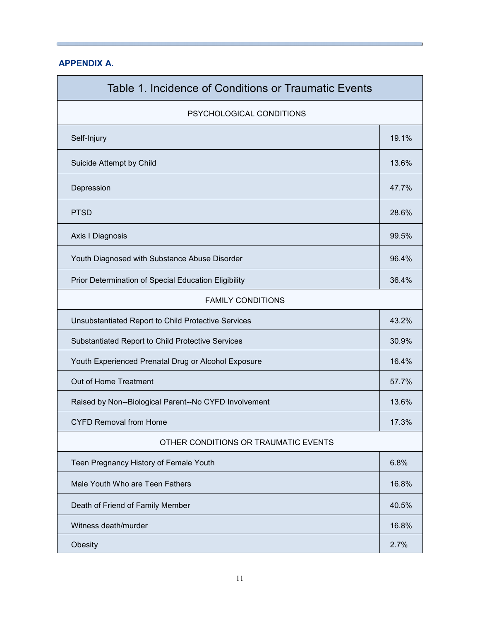## **APPENDIX A.**

| Table 1. Incidence of Conditions or Traumatic Events  |       |  |  |  |
|-------------------------------------------------------|-------|--|--|--|
| PSYCHOLOGICAL CONDITIONS                              |       |  |  |  |
| Self-Injury                                           |       |  |  |  |
| Suicide Attempt by Child                              | 13.6% |  |  |  |
| Depression                                            |       |  |  |  |
| <b>PTSD</b>                                           |       |  |  |  |
| Axis I Diagnosis                                      |       |  |  |  |
| Youth Diagnosed with Substance Abuse Disorder         |       |  |  |  |
| Prior Determination of Special Education Eligibility  | 36.4% |  |  |  |
| <b>FAMILY CONDITIONS</b>                              |       |  |  |  |
| Unsubstantiated Report to Child Protective Services   | 43.2% |  |  |  |
| Substantiated Report to Child Protective Services     |       |  |  |  |
| Youth Experienced Prenatal Drug or Alcohol Exposure   |       |  |  |  |
| Out of Home Treatment                                 |       |  |  |  |
| Raised by Non--Biological Parent--No CYFD Involvement |       |  |  |  |
| <b>CYFD Removal from Home</b>                         | 17.3% |  |  |  |
| OTHER CONDITIONS OR TRAUMATIC EVENTS                  |       |  |  |  |
| Teen Pregnancy History of Female Youth                | 6.8%  |  |  |  |
| Male Youth Who are Teen Fathers                       |       |  |  |  |
| Death of Friend of Family Member                      |       |  |  |  |
| Witness death/murder                                  |       |  |  |  |
| Obesity                                               |       |  |  |  |

and the control of the control of